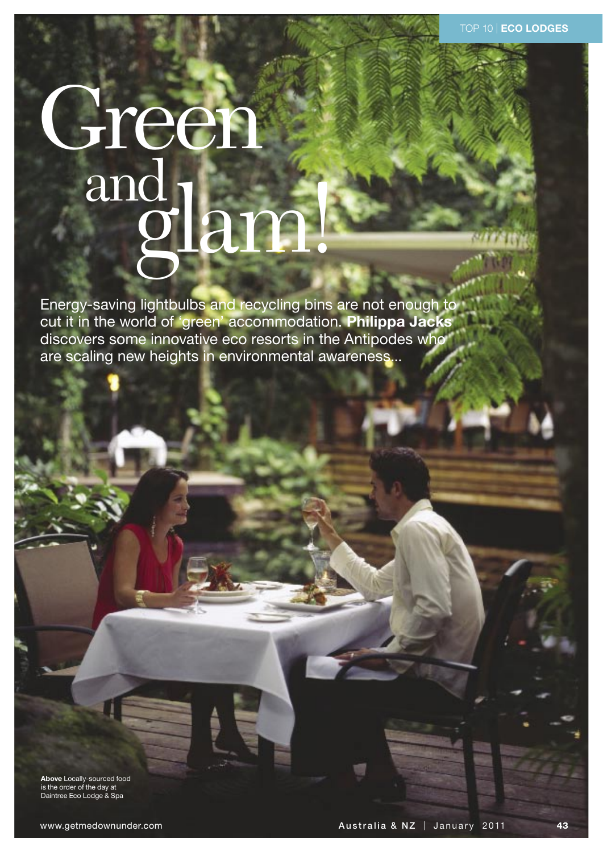# Green rlam

Energy-saving lightbulbs and recycling bins are not enough to cut it in the world of 'green' accommodation. Philippa Jacks discovers some innovative eco resorts in the Antipodes who are scaling new heights in environmental awareness...

Above Locally-sourced food<br>is the order of the day at Daintree Eco Lodge & Spa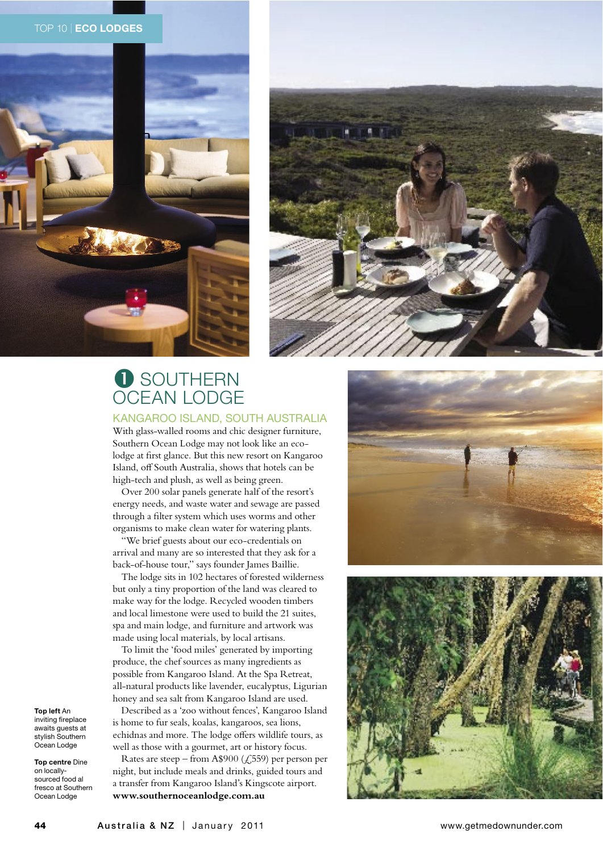





# **O** SOUTHERN **OCEAN LODGE**

KANGAROO ISLAND, SOUTH AUSTRALIA

With glass-walled rooms and chic designer furniture, Southern Ocean Lodge may not look like an ecolodge at first glance. But this new resort on Kangaroo Island, off South Australia, shows that hotels can be high-tech and plush, as well as being green.

Over 200 solar panels generate half of the resort's energy needs, and waste water and sewage are passed through a filter system which uses worms and other organisms to make clean water for watering plants.

"We brief guests about our eco-credentials on arrival and many are so interested that they ask for a back-of-house tour," says founder James Baillie.

The lodge sits in 102 hectares of forested wilderness but only a tiny proportion of the land was cleared to make way for the lodge. Recycled wooden timbers and local limestone were used to build the 21 suites, spa and main lodge, and furniture and artwork was made using local materials, by local artisans.

To limit the 'food miles' generated by importing produce, the chef sources as many ingredients as possible from Kangaroo Island. At the Spa Retreat, all-natural products like lavender, eucalyptus, Ligurian honey and sea salt from Kangaroo Island are used.

Described as a 'zoo without fences', Kangaroo Island is home to fur seals, koalas, kangaroos, sea lions, echidnas and more. The lodge offers wildlife tours, as well as those with a gourmet, art or history focus.

Rates are steep – from A\$900 ( $\zeta$ ,559) per person per night, but include meals and drinks, guided tours and a transfer from Kangaroo Island's Kingscote airport. www.southernoceanlodge.com.au





Top left An inviting fireplace awaits quests at stylish Southern Ocean Lodge

Top centre Dine on locallysourced food al fresco at Southern Ocean Lodge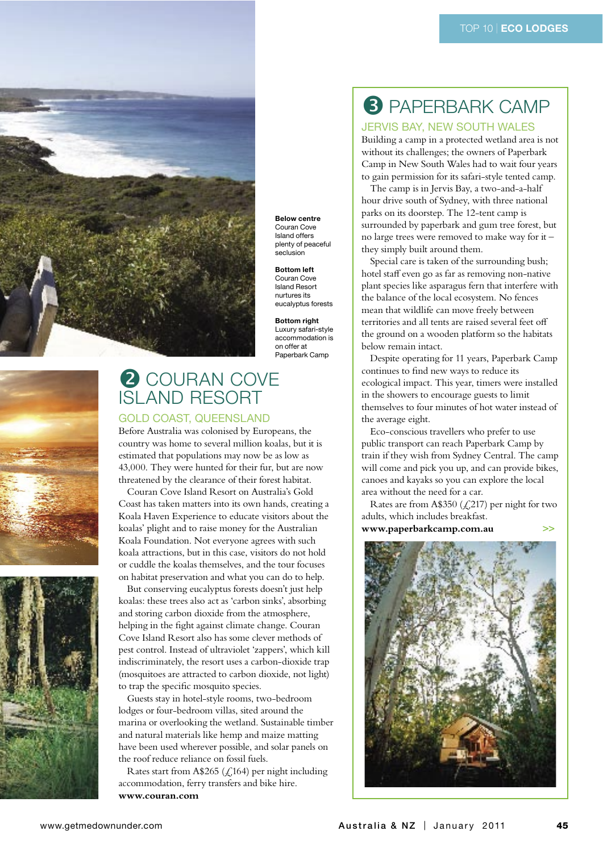

**Below centre** Couran Cove **Island offers** plenty of peaceful seclusion

**Bottom left** Couran Cove **Island Resort** nurtures its eucalyptus forests

**Bottom right** Luxury safari-style accommodation is on offer at Paperbark Camp





# 2 COURAN COVE **ISLAND RESORT**

**GOLD COAST, QUEENSLAND** 

Before Australia was colonised by Europeans, the country was home to several million koalas, but it is estimated that populations may now be as low as 43,000. They were hunted for their fur, but are now threatened by the clearance of their forest habitat.

Couran Cove Island Resort on Australia's Gold Coast has taken matters into its own hands, creating a Koala Haven Experience to educate visitors about the koalas' plight and to raise money for the Australian Koala Foundation. Not everyone agrees with such koala attractions, but in this case, visitors do not hold or cuddle the koalas themselves, and the tour focuses on habitat preservation and what you can do to help.

But conserving eucalyptus forests doesn't just help koalas: these trees also act as 'carbon sinks', absorbing and storing carbon dioxide from the atmosphere, helping in the fight against climate change. Couran Cove Island Resort also has some clever methods of pest control. Instead of ultraviolet 'zappers', which kill indiscriminately, the resort uses a carbon-dioxide trap (mosquitoes are attracted to carbon dioxide, not light) to trap the specific mosquito species.

Guests stay in hotel-style rooms, two-bedroom lodges or four-bedroom villas, sited around the marina or overlooking the wetland. Sustainable timber and natural materials like hemp and maize matting have been used wherever possible, and solar panels on the roof reduce reliance on fossil fuels.

Rates start from A\$265 ( $\zeta$ ,164) per night including accommodation, ferry transfers and bike hire. www.couran.com

# **3 PAPERBARK CAMP**

## **JERVIS BAY, NEW SOUTH WALES**

Building a camp in a protected wetland area is not without its challenges; the owners of Paperbark Camp in New South Wales had to wait four years to gain permission for its safari-style tented camp.

The camp is in Jervis Bay, a two-and-a-half hour drive south of Sydney, with three national parks on its doorstep. The 12-tent camp is surrounded by paperbark and gum tree forest, but no large trees were removed to make way for it they simply built around them.

Special care is taken of the surrounding bush; hotel staff even go as far as removing non-native plant species like asparagus fern that interfere with the balance of the local ecosystem. No fences mean that wildlife can move freely between territories and all tents are raised several feet off the ground on a wooden platform so the habitats below remain intact.

Despite operating for 11 years, Paperbark Camp continues to find new ways to reduce its ecological impact. This year, timers were installed in the showers to encourage guests to limit themselves to four minutes of hot water instead of the average eight.

Eco-conscious travellers who prefer to use public transport can reach Paperbark Camp by train if they wish from Sydney Central. The camp will come and pick you up, and can provide bikes, canoes and kayaks so you can explore the local area without the need for a car.

Rates are from A\$350 ( $\mathcal{L}$ ,217) per night for two adults, which includes breakfast. www.paperbarkcamp.com.au  $\Rightarrow$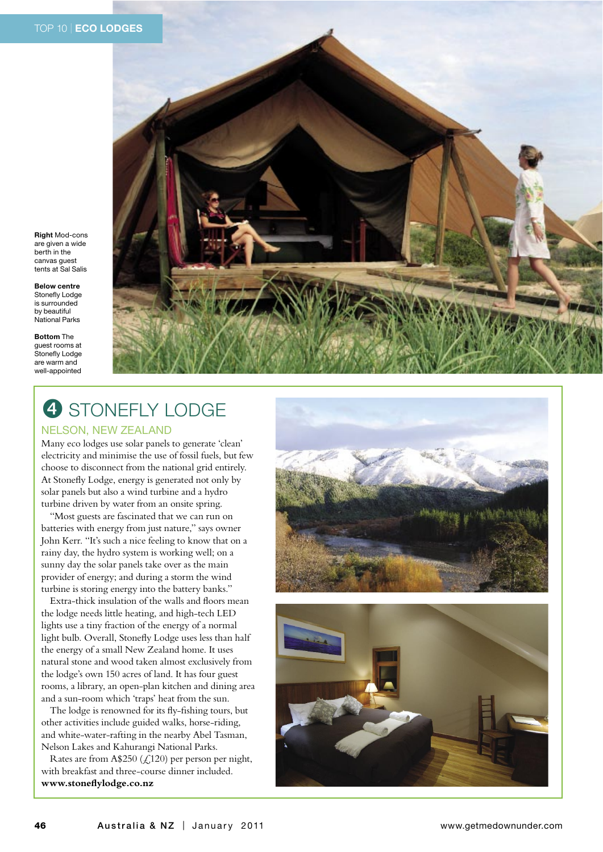**Right Mod-cons** are given a wide berth in the canvas guest tents at Sal Salis

**Relow centre** Stonefly Lodge is surrounded by beautiful National Parks

**Bottom The** guest rooms at Stonefly Lodge are warm and well-appointed



## 4 STONEFLY LODGE **NELSON, NEW ZEALAND**

Many eco lodges use solar panels to generate 'clean' electricity and minimise the use of fossil fuels, but few choose to disconnect from the national grid entirely. At Stonefly Lodge, energy is generated not only by solar panels but also a wind turbine and a hydro turbine driven by water from an onsite spring.

"Most guests are fascinated that we can run on batteries with energy from just nature," says owner John Kerr. "It's such a nice feeling to know that on a rainy day, the hydro system is working well; on a sunny day the solar panels take over as the main provider of energy; and during a storm the wind turbine is storing energy into the battery banks."

Extra-thick insulation of the walls and floors mean the lodge needs little heating, and high-tech LED lights use a tiny fraction of the energy of a normal light bulb. Overall, Stonefly Lodge uses less than half the energy of a small New Zealand home. It uses natural stone and wood taken almost exclusively from the lodge's own 150 acres of land. It has four guest rooms, a library, an open-plan kitchen and dining area and a sun-room which 'traps' heat from the sun.

The lodge is renowned for its fly-fishing tours, but other activities include guided walks, horse-riding, and white-water-rafting in the nearby Abel Tasman, Nelson Lakes and Kahurangi National Parks.

Rates are from A\$250 ( $\mathcal{L}$ ,120) per person per night, with breakfast and three-course dinner included. www.stoneflylodge.co.nz



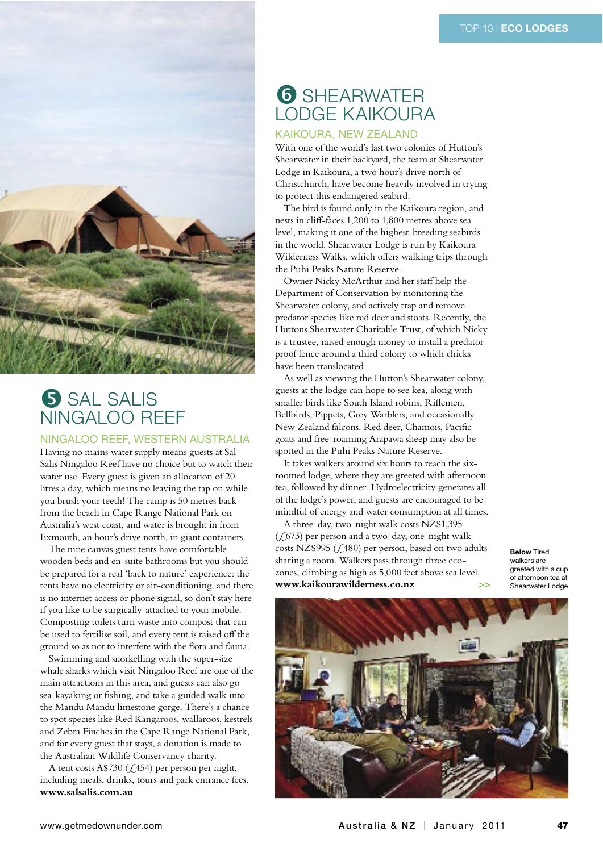

## **5** SAL SALIS NINGAI OO RFFF

#### NINGALOO REEF, WESTERN AUSTRALIA

Having no mains water supply means guests at Sal Salis Ningaloo Reef have no choice but to watch their water use. Every guest is given an allocation of 20 litres a day, which means no leaving the tap on while you brush your teeth! The camp is 50 metres back from the beach in Cape Range National Park on Australia's west coast, and water is brought in from Exmouth, an hour's drive north, in giant containers.

The nine canvas guest tents have comfortable wooden beds and en-suite bathrooms but you should be prepared for a real 'back to nature' experience: the tents have no electricity or air-conditioning, and there is no internet access or phone signal, so don't stay here if you like to be surgically-attached to your mobile. Composting toilets turn waste into compost that can be used to fertilise soil, and every tent is raised off the ground so as not to interfere with the flora and fauna.

Swimming and snorkelling with the super-size whale sharks which visit Ningaloo Reef are one of the main attractions in this area, and guests can also go sea-kayaking or fishing, and take a guided walk into the Mandu Mandu limestone gorge. There's a chance to spot species like Red Kangaroos, wallaroos, kestrels and Zebra Finches in the Cape Range National Park, and for every guest that stays, a donation is made to the Australian Wildlife Conservancy charity.

A tent costs A\$730 ( $\zeta$ ,454) per person per night, including meals, drinks, tours and park entrance fees. www.salsalis.com.au

## **6 SHEARWATER** LODGE KAIKOURA

## **KAIKOURA, NEW ZEALAND**

With one of the world's last two colonies of Hutton's Shearwater in their backyard, the team at Shearwater Lodge in Kaikoura, a two hour's drive north of Christchurch, have become heavily involved in trying to protect this endangered seabird.

The bird is found only in the Kaikoura region, and nests in cliff-faces 1,200 to 1,800 metres above sea level, making it one of the highest-breeding seabirds in the world. Shearwater Lodge is run by Kaikoura Wilderness Walks, which offers walking trips through the Puhi Peaks Nature Reserve.

Owner Nicky McArthur and her staff help the Department of Conservation by monitoring the Shearwater colony, and actively trap and remove predator species like red deer and stoats. Recently, the Huttons Shearwater Charitable Trust, of which Nicky is a trustee, raised enough money to install a predatorproof fence around a third colony to which chicks have been translocated.

As well as viewing the Hutton's Shearwater colony, guests at the lodge can hope to see kea, along with smaller birds like South Island robins, Riflemen, Bellbirds, Pippets, Grey Warblers, and occasionally New Zealand falcons. Red deer, Chamois, Pacific goats and free-roaming Arapawa sheep may also be spotted in the Puhi Peaks Nature Reserve.

It takes walkers around six hours to reach the sixroomed lodge, where they are greeted with afternoon tea, followed by dinner. Hydroelectricity generates all of the lodge's power, and guests are encouraged to be mindful of energy and water consumption at all times.

A three-day, two-night walk costs NZ\$1,395  $(\text{\textsterling},673)$  per person and a two-day, one-night walk costs NZ\$995 (£480) per person, based on two adults sharing a room. Walkers pass through three ecozones, climbing as high as 5,000 feet above sea level. www.kaikourawilderness.co.nz

**Below Tired** walkers are greeted with a cup of afternoon tea at Shearwater Lodge

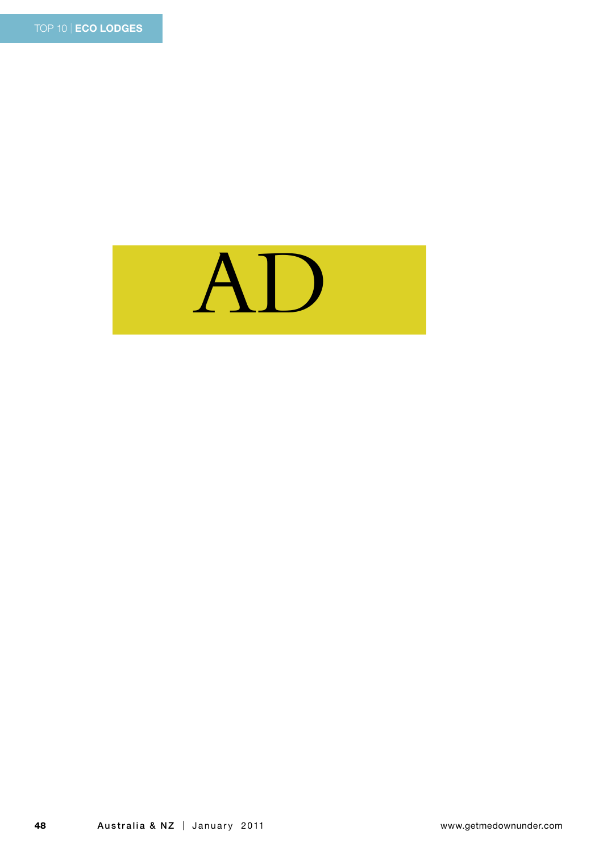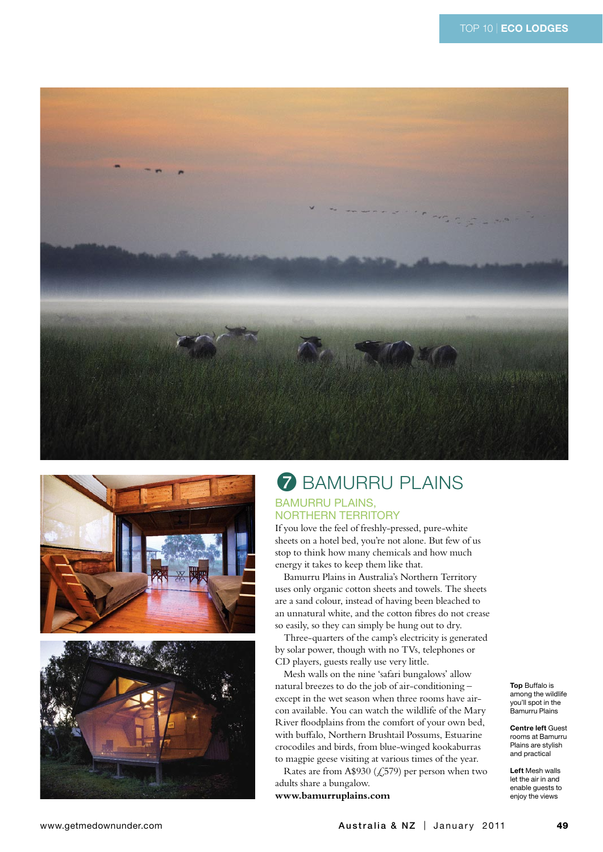





# **7 BAMURRU PLAINS**

## **BAMURRU PLAINS, NORTHERN TERRITORY**

If you love the feel of freshly-pressed, pure-white sheets on a hotel bed, you're not alone. But few of us stop to think how many chemicals and how much energy it takes to keep them like that.

Bamurru Plains in Australia's Northern Territory uses only organic cotton sheets and towels. The sheets are a sand colour, instead of having been bleached to an unnatural white, and the cotton fibres do not crease so easily, so they can simply be hung out to dry.

Three-quarters of the camp's electricity is generated by solar power, though with no TVs, telephones or CD players, guests really use very little.

Mesh walls on the nine 'safari bungalows' allow natural breezes to do the job of air-conditioningexcept in the wet season when three rooms have aircon available. You can watch the wildlife of the Mary River floodplains from the comfort of your own bed, with buffalo, Northern Brushtail Possums, Estuarine crocodiles and birds, from blue-winged kookaburras to magpie geese visiting at various times of the year.

Rates are from A\$930 ( $\zeta$ ,579) per person when two adults share a bungalow.

www.bamurruplains.com

**Top Buffalo is** among the wildlife<br>you'll spot in the Bamurru Plains

**Centre left Guest** rooms at Bamurru Plains are stylish and practical

Left Mesh walls let the air in and enable quests to enjoy the views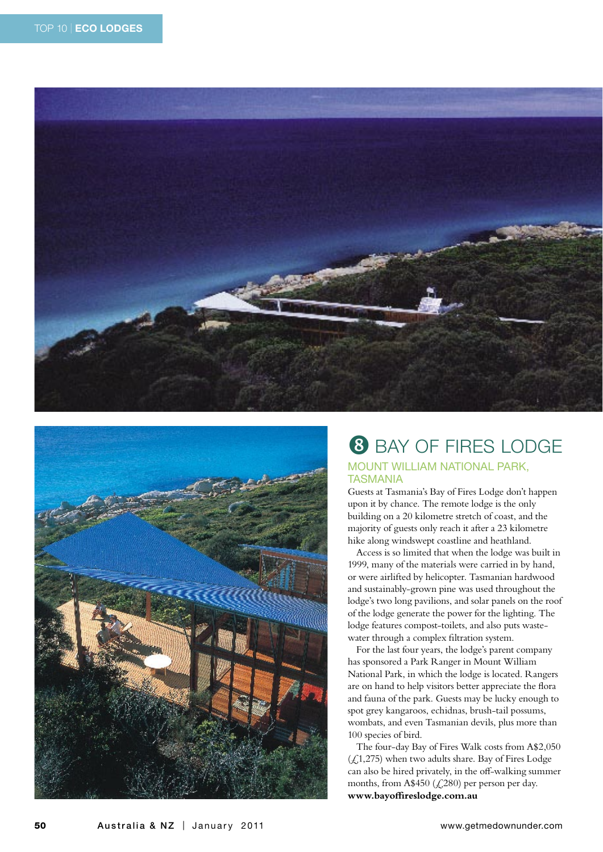



# **8 BAY OF FIRES LODGE**

## **MOUNT WILLIAM NATIONAL PARK. TASMANIA**

Guests at Tasmania's Bay of Fires Lodge don't happen upon it by chance. The remote lodge is the only building on a 20 kilometre stretch of coast, and the majority of guests only reach it after a 23 kilometre hike along windswept coastline and heathland.

Access is so limited that when the lodge was built in 1999, many of the materials were carried in by hand, or were airlifted by helicopter. Tasmanian hardwood and sustainably-grown pine was used throughout the lodge's two long pavilions, and solar panels on the roof of the lodge generate the power for the lighting. The lodge features compost-toilets, and also puts wastewater through a complex filtration system.

For the last four years, the lodge's parent company has sponsored a Park Ranger in Mount William National Park, in which the lodge is located. Rangers are on hand to help visitors better appreciate the flora and fauna of the park. Guests may be lucky enough to spot grey kangaroos, echidnas, brush-tail possums, wombats, and even Tasmanian devils, plus more than 100 species of bird.

The four-day Bay of Fires Walk costs from A\$2,050  $(\text{\textsterling},1,275)$  when two adults share. Bay of Fires Lodge can also be hired privately, in the off-walking summer months, from A\$450 (£280) per person per day. www.bayoffireslodge.com.au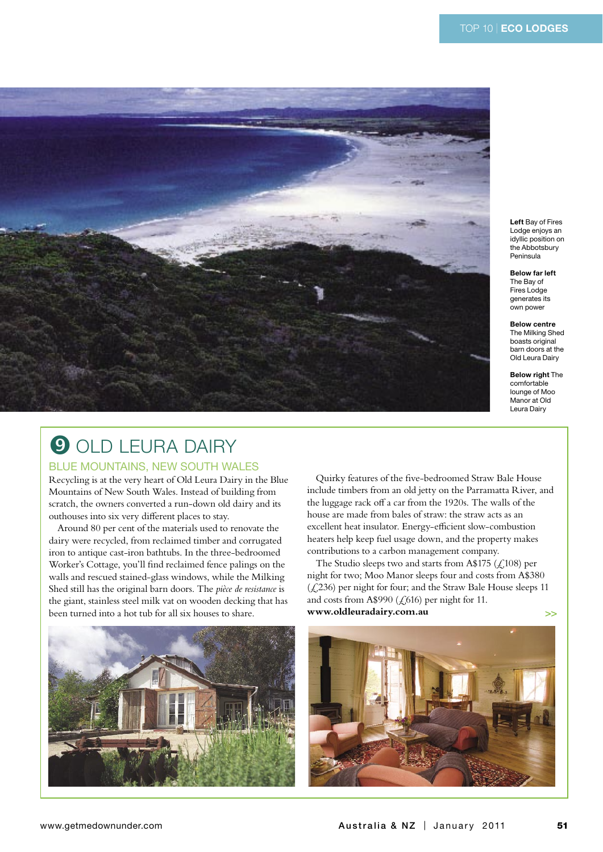

Left Bay of Fires Lodge eniovs an idyllic position on the Abbotsbury Peninsula

**Below far left** The Bay of Fires Lodge generates its own power

**Below centre** The Milking Shed boasts original barn doors at the Old Leura Dairy

**Below right The** comfortable lounge of Moo Manor at Old Leura Dairy

# **9 OLD LEURA DAIRY**

#### **BLUE MOUNTAINS, NEW SOUTH WALES**

Recycling is at the very heart of Old Leura Dairy in the Blue Mountains of New South Wales. Instead of building from scratch, the owners converted a run-down old dairy and its outhouses into six very different places to stay.

Around 80 per cent of the materials used to renovate the dairy were recycled, from reclaimed timber and corrugated iron to antique cast-iron bathtubs. In the three-bedroomed Worker's Cottage, you'll find reclaimed fence palings on the walls and rescued stained-glass windows, while the Milking Shed still has the original barn doors. The pièce de resistance is the giant, stainless steel milk vat on wooden decking that has been turned into a hot tub for all six houses to share.



Quirky features of the five-bedroomed Straw Bale House include timbers from an old jetty on the Parramatta River, and the luggage rack off a car from the 1920s. The walls of the house are made from bales of straw: the straw acts as an excellent heat insulator. Energy-efficient slow-combustion heaters help keep fuel usage down, and the property makes contributions to a carbon management company.

The Studio sleeps two and starts from A\$175 ( $\angle$ 108) per night for two; Moo Manor sleeps four and costs from A\$380  $(\text{\textsterling}.236)$  per night for four; and the Straw Bale House sleeps 11 and costs from A\$990 ( $\zeta$ 616) per night for 11. www.oldleuradairy.com.au  $\Rightarrow$